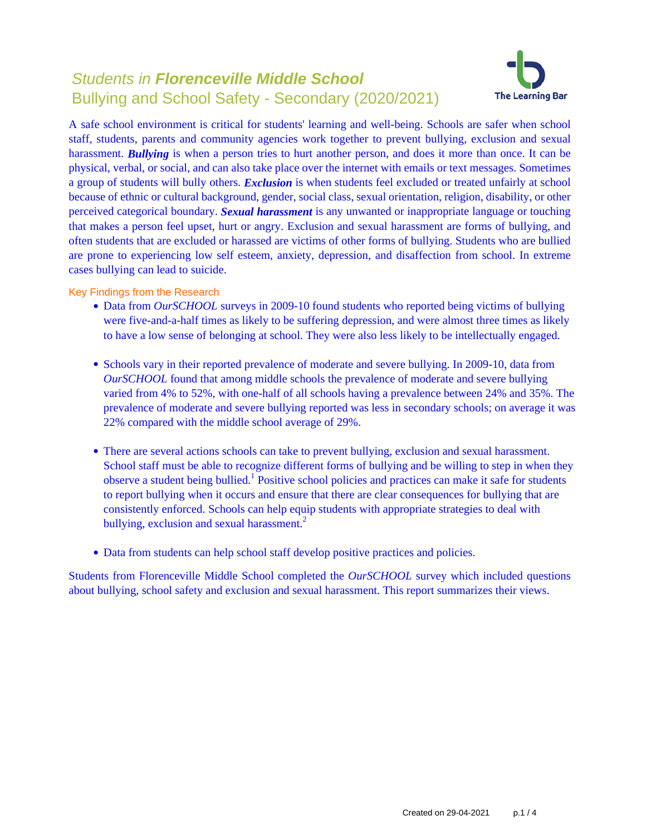# Students in **Florenceville Middle School** Bullying and School Safety - Secondary (2020/2021)



A safe school environment is critical for students' learning and well-being. Schools are safer when school staff, students, parents and community agencies work together to prevent bullying, exclusion and sexual harassment. *Bullying* is when a person tries to hurt another person, and does it more than once. It can be physical, verbal, or social, and can also take place over the internet with emails or text messages. Sometimes a group of students will bully others. *Exclusion* is when students feel excluded or treated unfairly at school because of ethnic or cultural background, gender, social class, sexual orientation, religion, disability, or other perceived categorical boundary. *Sexual harassment* is any unwanted or inappropriate language or touching that makes a person feel upset, hurt or angry. Exclusion and sexual harassment are forms of bullying, and often students that are excluded or harassed are victims of other forms of bullying. Students who are bullied are prone to experiencing low self esteem, anxiety, depression, and disaffection from school. In extreme cases bullying can lead to suicide.

Key Findings from the Research

- Data from *OurSCHOOL* surveys in 2009-10 found students who reported being victims of bullying were five-and-a-half times as likely to be suffering depression, and were almost three times as likely to have a low sense of belonging at school. They were also less likely to be intellectually engaged.
- Schools vary in their reported prevalence of moderate and severe bullying. In 2009-10, data from *OurSCHOOL* found that among middle schools the prevalence of moderate and severe bullying varied from 4% to 52%, with one-half of all schools having a prevalence between 24% and 35%. The prevalence of moderate and severe bullying reported was less in secondary schools; on average it was 22% compared with the middle school average of 29%.
- There are several actions schools can take to prevent bullying, exclusion and sexual harassment. School staff must be able to recognize different forms of bullying and be willing to step in when they observe a student being bullied.<sup>1</sup> Positive school policies and practices can make it safe for students to report bullying when it occurs and ensure that there are clear consequences for bullying that are consistently enforced. Schools can help equip students with appropriate strategies to deal with bullying, exclusion and sexual harassment.<sup>2</sup>
- Data from students can help school staff develop positive practices and policies.

Students from Florenceville Middle School completed the *OurSCHOOL* survey which included questions about bullying, school safety and exclusion and sexual harassment. This report summarizes their views.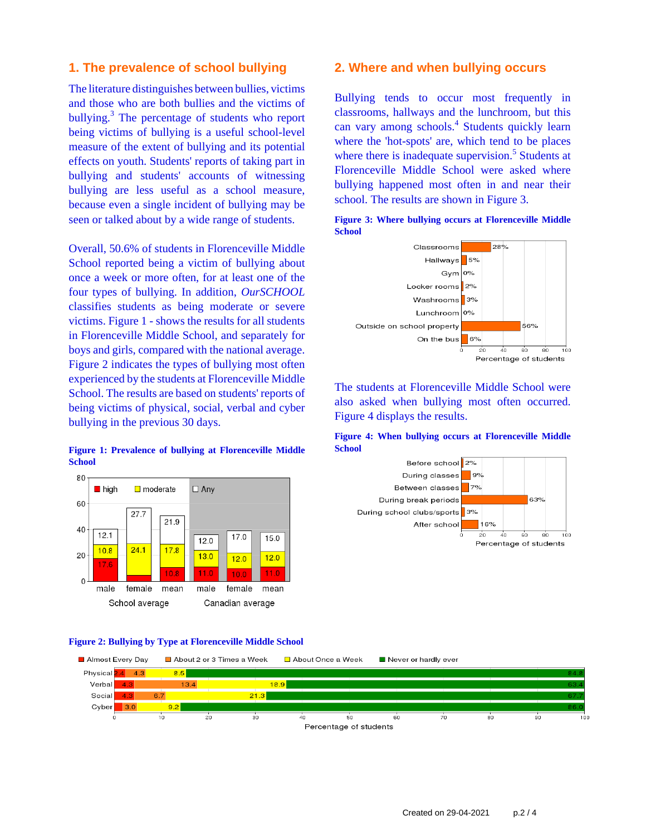# **1. The prevalence of school bullying**

The literature distinguishes between bullies, victims and those who are both bullies and the victims of bullying.<sup>3</sup> The percentage of students who report being victims of bullying is a useful school-level measure of the extent of bullying and its potential effects on youth. Students' reports of taking part in bullying and students' accounts of witnessing bullying are less useful as a school measure, because even a single incident of bullying may be seen or talked about by a wide range of students.

Overall, 50.6% of students in Florenceville Middle School reported being a victim of bullying about once a week or more often, for at least one of the four types of bullying. In addition, *OurSCHOOL* classifies students as being moderate or severe victims. Figure 1 - shows the results for all students in Florenceville Middle School, and separately for boys and girls, compared with the national average. Figure 2 indicates the types of bullying most often experienced by the students at Florenceville Middle School. The results are based on students' reports of being victims of physical, social, verbal and cyber bullying in the previous 30 days.

## **Figure 1: Prevalence of bullying at Florenceville Middle School**



#### **Figure 2: Bullying by Type at Florenceville Middle School**

# **2. Where and when bullying occurs**

Bullying tends to occur most frequently in classrooms, hallways and the lunchroom, but this can vary among schools.<sup>4</sup> Students quickly learn where the 'hot-spots' are, which tend to be places where there is inadequate supervision.<sup>5</sup> Students at Florenceville Middle School were asked where bullying happened most often in and near their school. The results are shown in Figure 3.

**Figure 3: Where bullying occurs at Florenceville Middle**



The students at Florenceville Middle School were also asked when bullying most often occurred. Figure 4 displays the results.

**Figure 4: When bullying occurs at Florenceville Middle School**



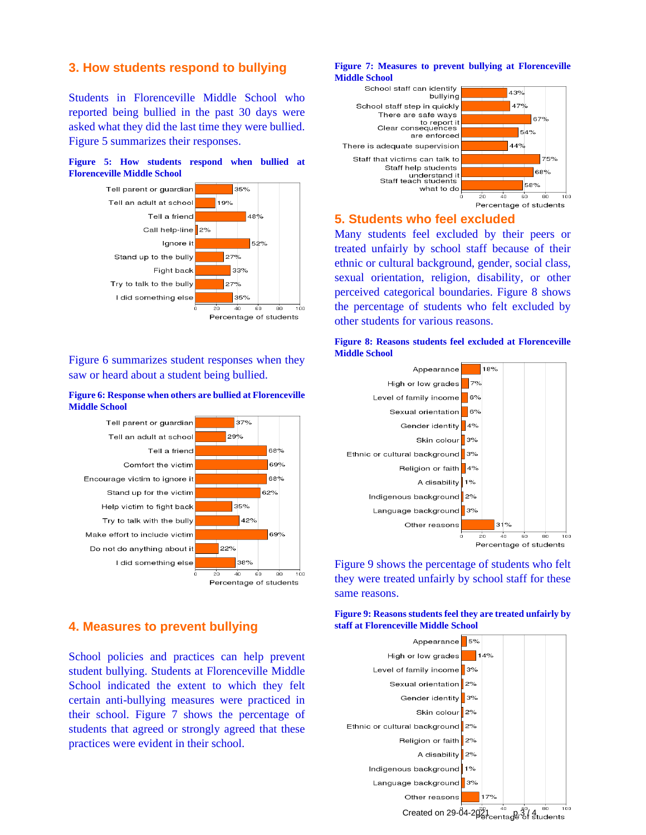## **3. How students respond to bullying**

Students in Florenceville Middle School who reported being bullied in the past 30 days were asked what they did the last time they were bullied. Figure 5 summarizes their responses.





Figure 6 summarizes student responses when they saw or heard about a student being bullied.

#### **Figure 6: Response when others are bullied at Florenceville Middle School**



# **4. Measures to prevent bullying**

School policies and practices can help prevent student bullying. Students at Florenceville Middle School indicated the extent to which they felt certain anti-bullying measures were practiced in their school. Figure 7 shows the percentage of students that agreed or strongly agreed that these practices were evident in their school.

#### **Figure 7: Measures to prevent bullying at Florenceville Middle School**



## **5. Students who feel excluded**

Many students feel excluded by their peers or treated unfairly by school staff because of their ethnic or cultural background, gender, social class, sexual orientation, religion, disability, or other perceived categorical boundaries. Figure 8 shows the percentage of students who felt excluded by other students for various reasons.





Figure 9 shows the percentage of students who felt they were treated unfairly by school staff for these same reasons.

**Figure 9: Reasons students feel they are treated unfairly by staff at Florenceville Middle School**